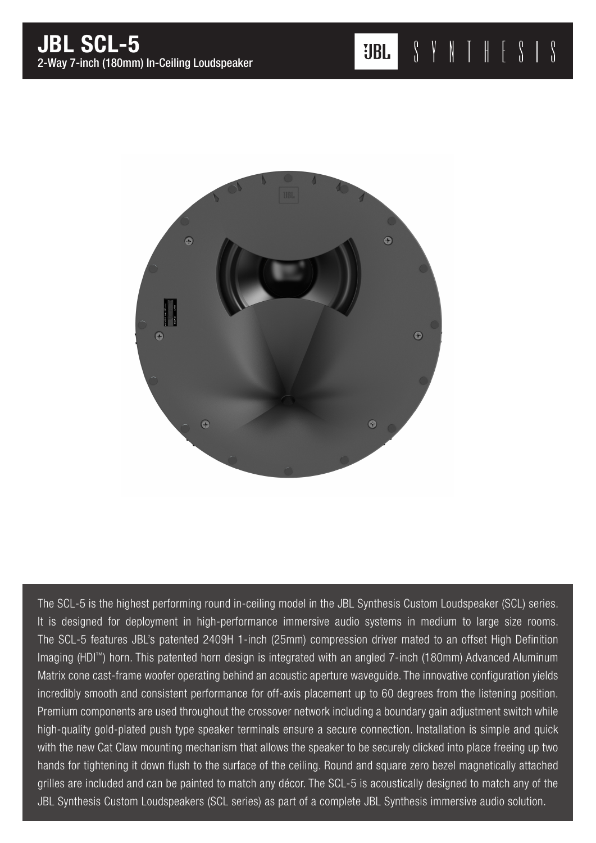

The SCL-5 is the highest performing round in-ceiling model in the JBL Synthesis Custom Loudspeaker (SCL) series. It is designed for deployment in high-performance immersive audio systems in medium to large size rooms. The SCL-5 features JBL's patented 2409H 1-inch (25mm) compression driver mated to an offset High Definition Imaging (HDI™) horn. This patented horn design is integrated with an angled 7-inch (180mm) Advanced Aluminum Matrix cone cast-frame woofer operating behind an acoustic aperture waveguide. The innovative configuration yields incredibly smooth and consistent performance for off-axis placement up to 60 degrees from the listening position. Premium components are used throughout the crossover network including a boundary gain adjustment switch while high-quality gold-plated push type speaker terminals ensure a secure connection. Installation is simple and quick with the new Cat Claw mounting mechanism that allows the speaker to be securely clicked into place freeing up two hands for tightening it down flush to the surface of the ceiling. Round and square zero bezel magnetically attached grilles are included and can be painted to match any décor. The SCL-5 is acoustically designed to match any of the JBL Synthesis Custom Loudspeakers (SCL series) as part of a complete JBL Synthesis immersive audio solution.